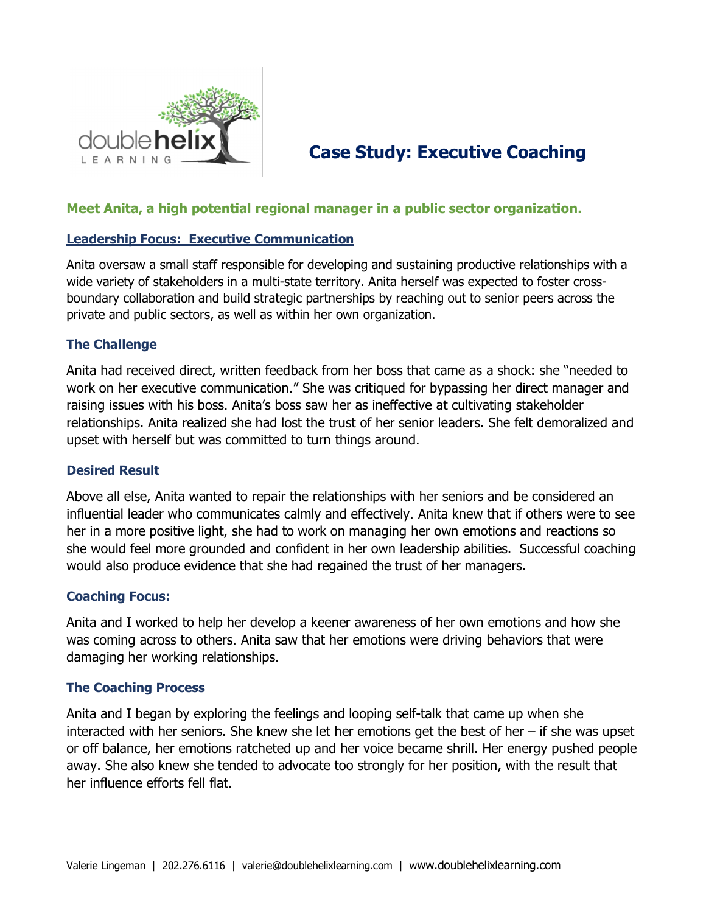

# **Case Study: Executive Coaching**

# **Meet Anita, a high potential regional manager in a public sector organization.**

#### **Leadership Focus: Executive Communication**

Anita oversaw a small staff responsible for developing and sustaining productive relationships with a wide variety of stakeholders in a multi-state territory. Anita herself was expected to foster crossboundary collaboration and build strategic partnerships by reaching out to senior peers across the private and public sectors, as well as within her own organization.

#### **The Challenge**

Anita had received direct, written feedback from her boss that came as a shock: she "needed to work on her executive communication." She was critiqued for bypassing her direct manager and raising issues with his boss. Anita's boss saw her as ineffective at cultivating stakeholder relationships. Anita realized she had lost the trust of her senior leaders. She felt demoralized and upset with herself but was committed to turn things around.

#### **Desired Result**

Above all else, Anita wanted to repair the relationships with her seniors and be considered an influential leader who communicates calmly and effectively. Anita knew that if others were to see her in a more positive light, she had to work on managing her own emotions and reactions so she would feel more grounded and confident in her own leadership abilities. Successful coaching would also produce evidence that she had regained the trust of her managers.

## **Coaching Focus:**

Anita and I worked to help her develop a keener awareness of her own emotions and how she was coming across to others. Anita saw that her emotions were driving behaviors that were damaging her working relationships.

## **The Coaching Process**

Anita and I began by exploring the feelings and looping self-talk that came up when she interacted with her seniors. She knew she let her emotions get the best of her – if she was upset or off balance, her emotions ratcheted up and her voice became shrill. Her energy pushed people away. She also knew she tended to advocate too strongly for her position, with the result that her influence efforts fell flat.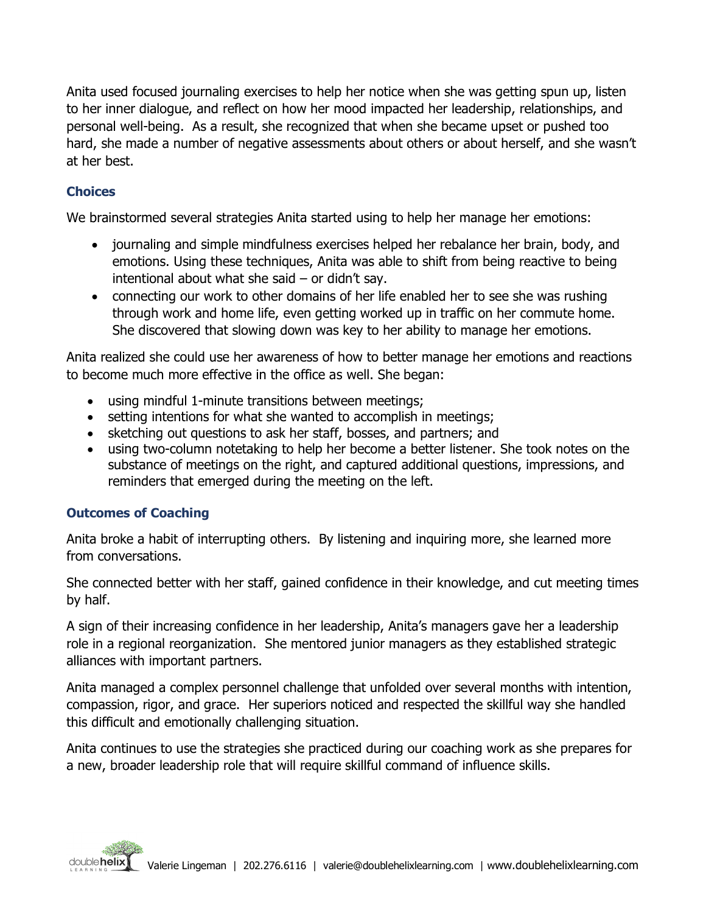Anita used focused journaling exercises to help her notice when she was getting spun up, listen to her inner dialogue, and reflect on how her mood impacted her leadership, relationships, and personal well-being. As a result, she recognized that when she became upset or pushed too hard, she made a number of negative assessments about others or about herself, and she wasn't at her best.

# **Choices**

We brainstormed several strategies Anita started using to help her manage her emotions:

- journaling and simple mindfulness exercises helped her rebalance her brain, body, and emotions. Using these techniques, Anita was able to shift from being reactive to being intentional about what she said – or didn't say.
- connecting our work to other domains of her life enabled her to see she was rushing through work and home life, even getting worked up in traffic on her commute home. She discovered that slowing down was key to her ability to manage her emotions.

Anita realized she could use her awareness of how to better manage her emotions and reactions to become much more effective in the office as well. She began:

- using mindful 1-minute transitions between meetings;
- setting intentions for what she wanted to accomplish in meetings;
- sketching out questions to ask her staff, bosses, and partners; and
- using two-column notetaking to help her become a better listener. She took notes on the substance of meetings on the right, and captured additional questions, impressions, and reminders that emerged during the meeting on the left.

# **Outcomes of Coaching**

Anita broke a habit of interrupting others. By listening and inquiring more, she learned more from conversations.

She connected better with her staff, gained confidence in their knowledge, and cut meeting times by half.

A sign of their increasing confidence in her leadership, Anita's managers gave her a leadership role in a regional reorganization. She mentored junior managers as they established strategic alliances with important partners.

Anita managed a complex personnel challenge that unfolded over several months with intention, compassion, rigor, and grace. Her superiors noticed and respected the skillful way she handled this difficult and emotionally challenging situation.

Anita continues to use the strategies she practiced during our coaching work as she prepares for a new, broader leadership role that will require skillful command of influence skills.